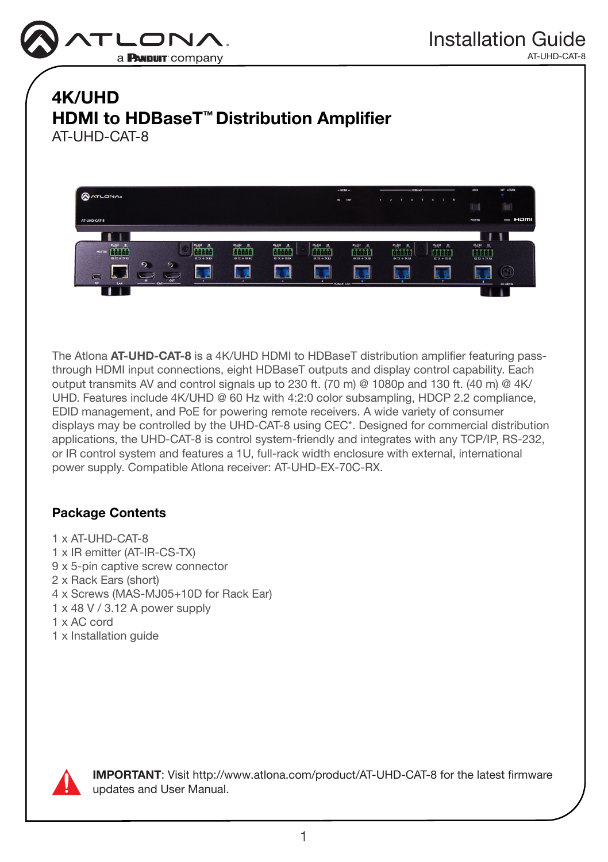

# 4K/UHD HDMI to HDBaseT™ Distribution Amplifier AT-UHD-CAT-8



The Atlona AT-UHD-CAT-8 is a 4K/UHD HDMI to HDBaseT distribution amplifier featuring passthrough HDMI input connections, eight HDBaseT outputs and display control capability. Each output transmits AV and control signals up to 230 ft. (70 m) @ 1080p and 130 ft. (40 m) @  $4$ K/ UHD. Features include 4K/UHD @ 60 Hz with 4:2:0 color subsampling, HDCP 2.2 compliance, EDID management, and PoE for powering remote receivers. A wide variety of consumer displays may be controlled by the UHD-CAT-8 using CEC\*. Designed for commercial distribution applications, the UHD-CAT-8 is control system-friendly and integrates with any TCP/IP, RS-232, or IR control system and features a 1U, full-rack width enclosure with external, international power supply. Compatible Atlona receiver: AT-UHD-EX-70C-RX.

## Package Contents

- 1 x AT-UHD-CAT-8
- 1 x IR emitter (AT-IR-CS-TX)
- 9 x 5-pin captive screw connector
- 2 x Rack Ears (short)
- 4 x Screws (MAS-MJ05+10D for Rack Ear)
- 1 x 48 V / 3.12 A power supply
- 1 x AC cord
- 1 x Installation guide



IMPORTANT: Visit http://www.atlona.com/product/AT-UHD-CAT-8 for the latest firmware updates and User Manual.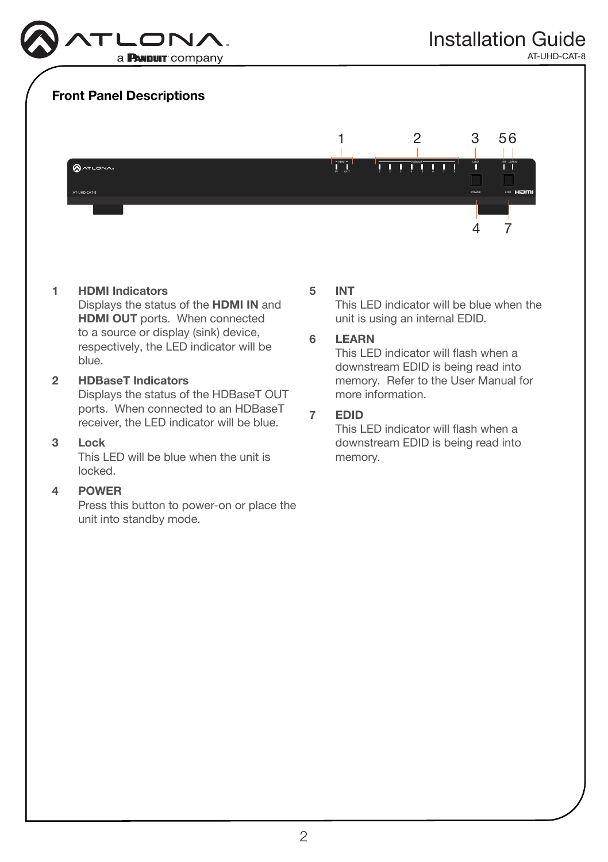

### Front Panel Descriptions



#### 1 HDMI Indicators

Displays the status of the HDMI IN and HDMI OUT ports. When connected to a source or display (sink) device, respectively, the LED indicator will be blue.

#### 2 HDBaseT Indicators Displays the status of the HDBaseT OUT

ports. When connected to an HDBaseT receiver, the LED indicator will be blue.

#### 3 Lock

This LED will be blue when the unit is locked.

#### 4 POWER

Press this button to power-on or place the unit into standby mode.

#### 5 INT

This LED indicator will be blue when the unit is using an internal EDID.

#### 6 LEARN

This LED indicator will flash when a downstream EDID is being read into memory. Refer to the User Manual for more information.

#### 7 EDID

This LED indicator will flash when a downstream EDID is being read into memory.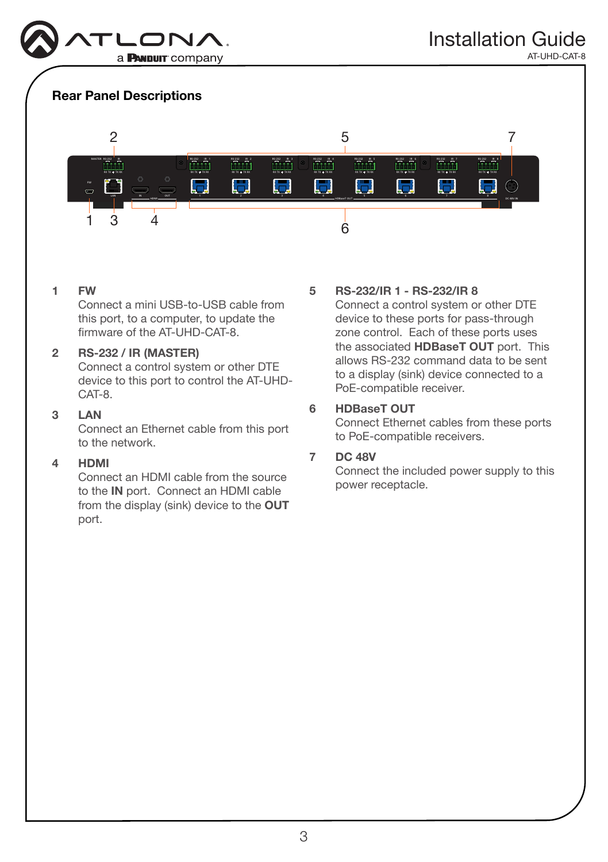

# Rear Panel Descriptions



#### 1 FW

Connect a mini USB-to-USB cable from this port, to a computer, to update the firmware of the AT-UHD-CAT-8.

#### 2 RS-232 / IR (MASTER)

Connect a control system or other DTE device to this port to control the AT-UHD-CAT-8.

#### 3 LAN

Connect an Ethernet cable from this port to the network.

#### 4 HDMI

Connect an HDMI cable from the source to the IN port. Connect an HDMI cable from the display (sink) device to the OUT port.

#### 5 RS-232/IR 1 - RS-232/IR 8

Connect a control system or other DTE device to these ports for pass-through zone control. Each of these ports uses the associated HDBaseT OUT port. This allows RS-232 command data to be sent to a display (sink) device connected to a PoE-compatible receiver.

#### 6 HDBaseT OUT

Connect Ethernet cables from these ports to PoE-compatible receivers.

#### 7 DC 48V

Connect the included power supply to this power receptacle.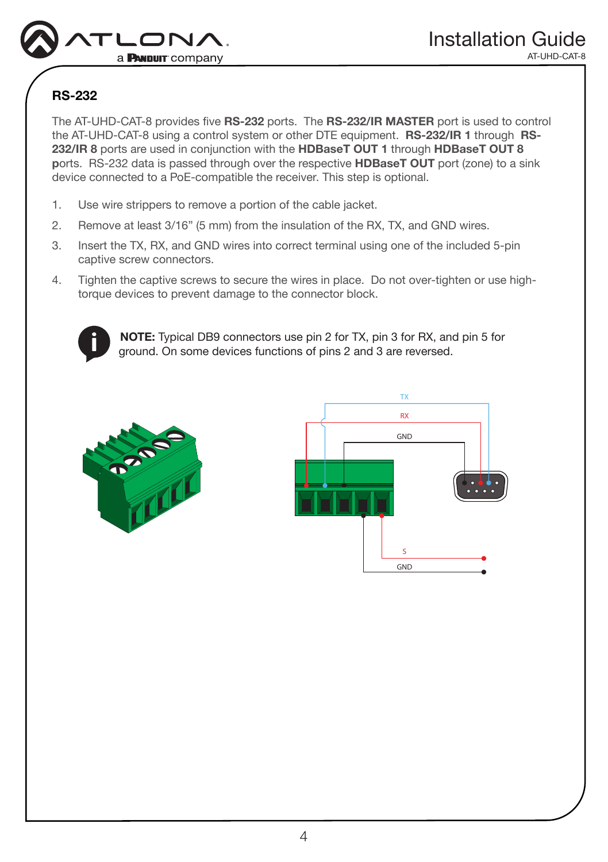

# RS-232

The AT-UHD-CAT-8 provides five RS-232 ports. The RS-232/IR MASTER port is used to control the AT-UHD-CAT-8 using a control system or other DTE equipment. **RS-232/IR 1** through **RS-**232/IR 8 ports are used in conjunction with the HDBaseT OUT 1 through HDBaseT OUT 8 ports. RS-232 data is passed through over the respective **HDBaseT OUT** port (zone) to a sink device connected to a PoE-compatible the receiver. This step is optional.

- 1. Use wire strippers to remove a portion of the cable jacket.
- 2. Remove at least 3/16" (5 mm) from the insulation of the RX, TX, and GND wires.
- 3. Insert the TX, RX, and GND wires into correct terminal using one of the included 5-pin captive screw connectors.
- 4. Tighten the captive screws to secure the wires in place. Do not over-tighten or use hightorque devices to prevent damage to the connector block.



NOTE: Typical DB9 connectors use pin 2 for TX, pin 3 for RX, and pin 5 for ground. On some devices functions of pins 2 and 3 are reversed.



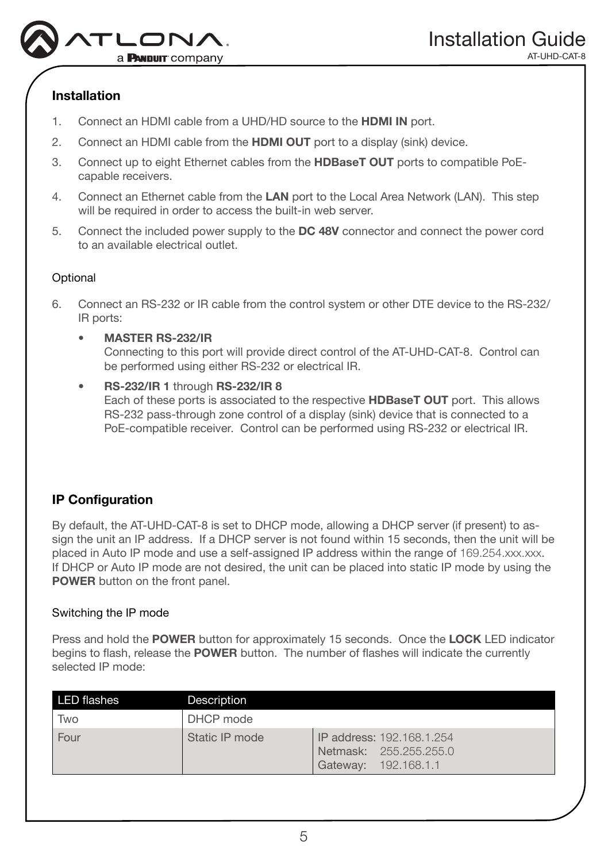

# Installation

- 1. Connect an HDMI cable from a UHD/HD source to the HDMI IN port.
- 2. Connect an HDMI cable from the **HDMI OUT** port to a display (sink) device.
- 3. Connect up to eight Ethernet cables from the HDBaseT OUT ports to compatible PoEcapable receivers.
- 4. Connect an Ethernet cable from the LAN port to the Local Area Network (LAN). This step will be required in order to access the built-in web server.
- 5. Connect the included power supply to the DC 48V connector and connect the power cord to an available electrical outlet.

### **Optional**

- 6. Connect an RS-232 or IR cable from the control system or other DTE device to the RS-232/ IR ports:
	- MASTER RS-232/IR Connecting to this port will provide direct control of the AT-UHD-CAT-8. Control can be performed using either RS-232 or electrical IR.
	- RS-232/IR 1 through RS-232/IR 8 Each of these ports is associated to the respective HDBaseT OUT port. This allows RS-232 pass-through zone control of a display (sink) device that is connected to a PoE-compatible receiver. Control can be performed using RS-232 or electrical IR.

# IP Configuration

By default, the AT-UHD-CAT-8 is set to DHCP mode, allowing a DHCP server (if present) to assign the unit an IP address. If a DHCP server is not found within 15 seconds, then the unit will be placed in Auto IP mode and use a self-assigned IP address within the range of 169.254.xxx.xxx. If DHCP or Auto IP mode are not desired, the unit can be placed into static IP mode by using the POWER button on the front panel.

### Switching the IP mode

Press and hold the POWER button for approximately 15 seconds. Once the LOCK LED indicator begins to flash, release the **POWER** button. The number of flashes will indicate the currently selected IP mode:

| <b>LED flashes</b> | Description    |                                                                             |
|--------------------|----------------|-----------------------------------------------------------------------------|
| Two                | DHCP mode      |                                                                             |
| Four               | Static IP mode | IP address: 192.168.1.254<br>Netmask: 255.255.255.0<br>Gateway: 192.168.1.1 |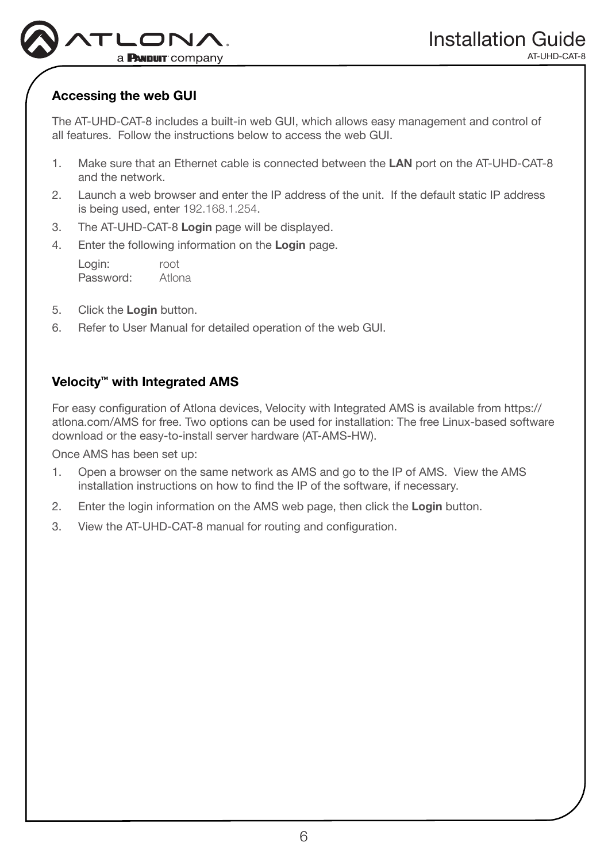

# Accessing the web GUI

The AT-UHD-CAT-8 includes a built-in web GUI, which allows easy management and control of all features. Follow the instructions below to access the web GUI.

- 1. Make sure that an Ethernet cable is connected between the LAN port on the AT-UHD-CAT-8 and the network.
- 2. Launch a web browser and enter the IP address of the unit. If the default static IP address is being used, enter 192.168.1.254.
- 3. The AT-UHD-CAT-8 Login page will be displayed.
- 4. Enter the following information on the Login page.

Login: root Password: Atlona

- 5. Click the Login button.
- 6. Refer to User Manual for detailed operation of the web GUI.

### Velocity<sup>™</sup> with Integrated AMS

For easy configuration of Atlona devices, Velocity with Integrated AMS is available from https:// atlona.com/AMS for free. Two options can be used for installation: The free Linux-based software download or the easy-to-install server hardware (AT-AMS-HW).

Once AMS has been set up:

- 1. Open a browser on the same network as AMS and go to the IP of AMS. View the AMS installation instructions on how to find the IP of the software, if necessary.
- 2. Enter the login information on the AMS web page, then click the Login button.
- 3. View the AT-UHD-CAT-8 manual for routing and configuration.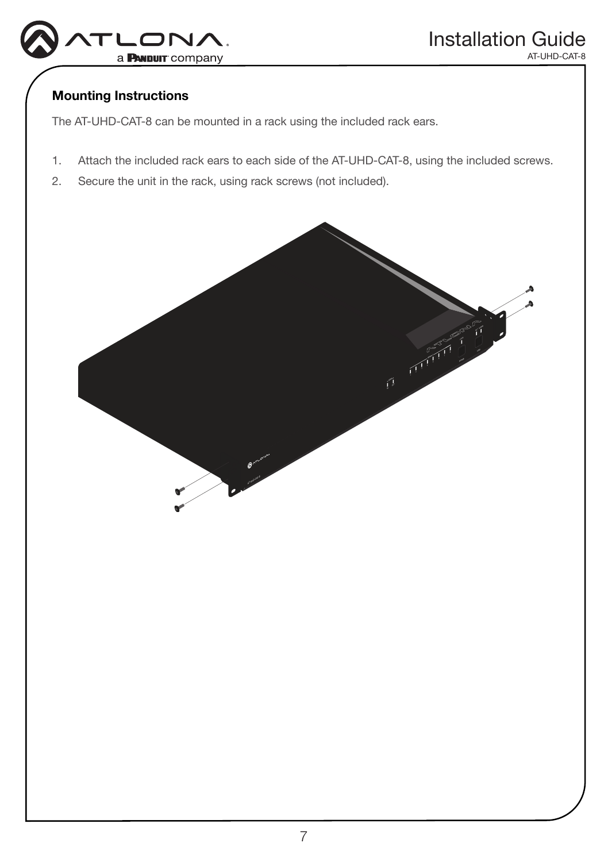

### Mounting Instructions

The AT-UHD-CAT-8 can be mounted in a rack using the included rack ears.

- 1. Attach the included rack ears to each side of the AT-UHD-CAT-8, using the included screws.
- 2. Secure the unit in the rack, using rack screws (not included).

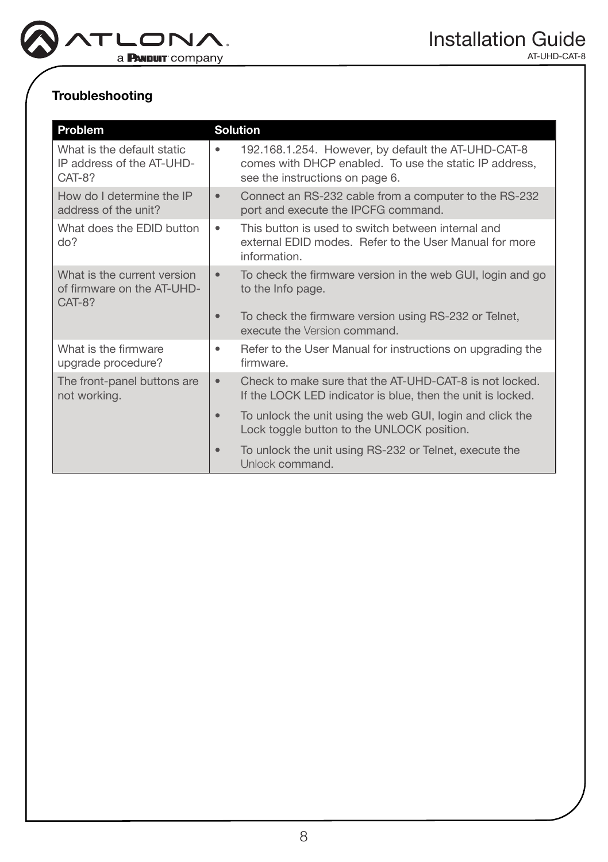

# Troubleshooting

| Problem                                                             | <b>Solution</b>                                                                                                                                       |
|---------------------------------------------------------------------|-------------------------------------------------------------------------------------------------------------------------------------------------------|
| What is the default static<br>IP address of the AT-UHD-<br>CAT-8?   | 192.168.1.254. However, by default the AT-UHD-CAT-8<br>۰<br>comes with DHCP enabled. To use the static IP address,<br>see the instructions on page 6. |
| How do I determine the IP<br>address of the unit?                   | Connect an RS-232 cable from a computer to the RS-232<br>$\bullet$<br>port and execute the IPCFG command.                                             |
| What does the EDID button<br>do?                                    | This button is used to switch between internal and<br>$\bullet$<br>external EDID modes. Refer to the User Manual for more<br>information.             |
| What is the current version<br>of firmware on the AT-UHD-<br>CAT-8? | To check the firmware version in the web GUI, login and go<br>$\bullet$<br>to the Info page.                                                          |
|                                                                     | To check the firmware version using RS-232 or Telnet,<br>$\bullet$<br>execute the Version command.                                                    |
| What is the firmware<br>upgrade procedure?                          | Refer to the User Manual for instructions on upgrading the<br>٠<br>firmware.                                                                          |
| The front-panel buttons are<br>not working.                         | Check to make sure that the AT-UHD-CAT-8 is not locked.<br>$\bullet$<br>If the LOCK LED indicator is blue, then the unit is locked.                   |
|                                                                     | To unlock the unit using the web GUI, login and click the<br>$\bullet$<br>Lock toggle button to the UNLOCK position.                                  |
|                                                                     | To unlock the unit using RS-232 or Telnet, execute the<br>$\bullet$<br>Unlock command.                                                                |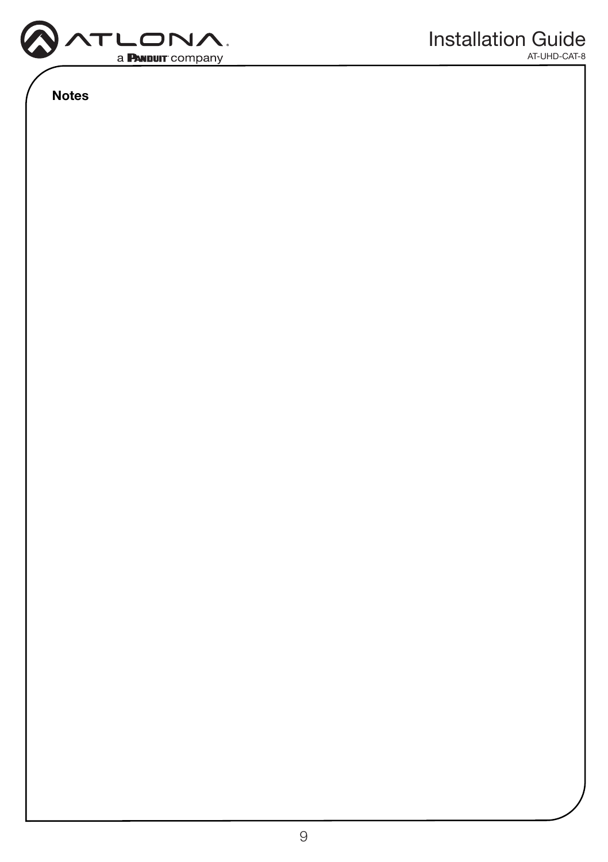

Notes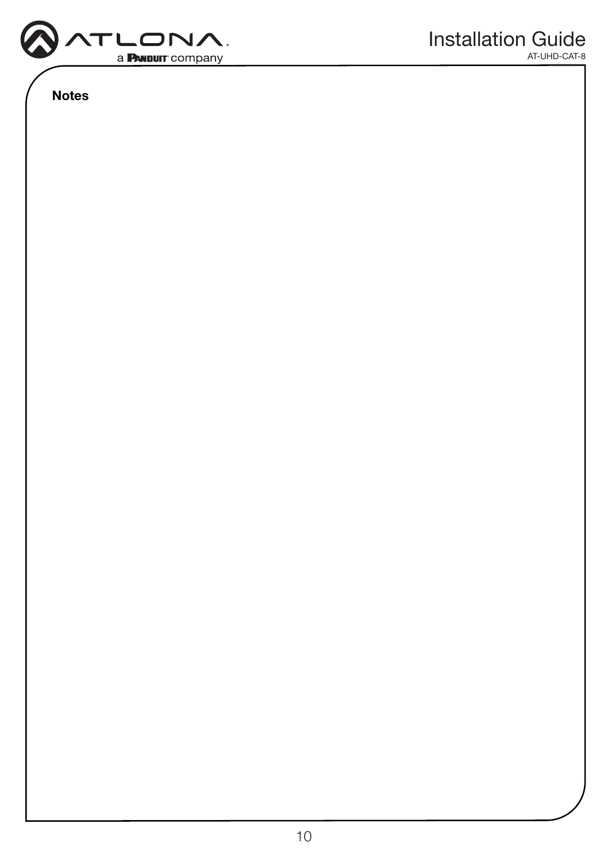

Notes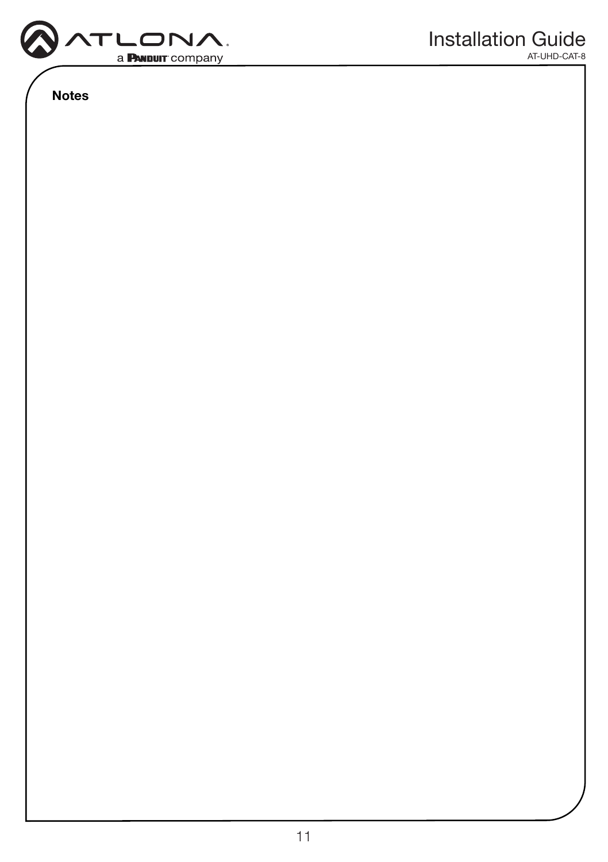

Notes